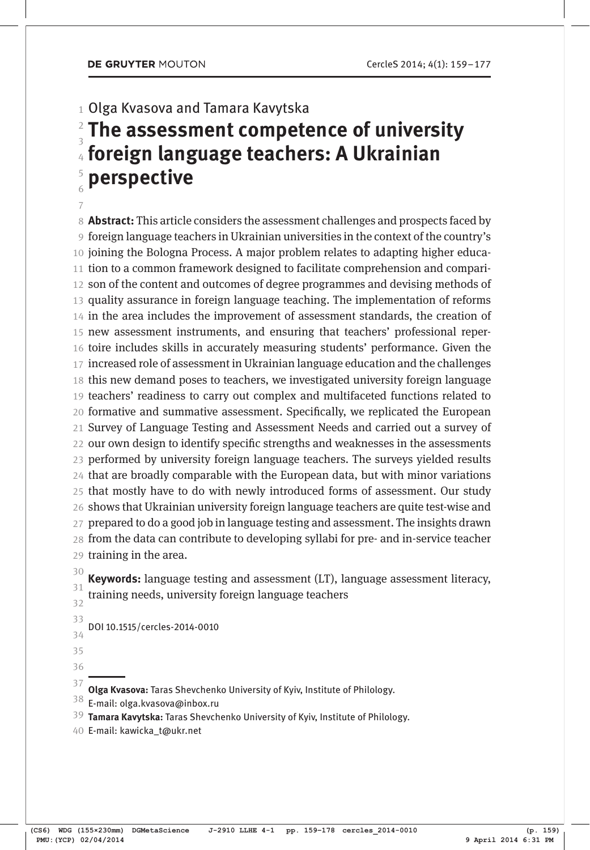### $\scriptstyle\rm 1$  Olga Kvasova and Tamara Kavytska

#### **The assessment competence of university**  2 *s* foreign language teachers: A Ukrainian **perspective** 4 5 6

7

**Abstract:** This article considers the assessment challenges and prospects faced by 8 foreign language teachers in Ukrainian universities in the context of the country's 9 joining the Bologna Process. A major problem relates to adapting higher educa-10 11 tion to a common framework designed to facilitate comprehension and compari-12 son of the content and outcomes of degree programmes and devising methods of quality assurance in foreign language teaching. The implementation of reforms 13 14 in the area includes the improvement of assessment standards, the creation of 15 new assessment instruments, and ensuring that teachers' professional reper-16 toire includes skills in accurately measuring students' performance. Given the 17 increased role of assessment in Ukrainian language education and the challenges 18 this new demand poses to teachers, we investigated university foreign language 19 teachers' readiness to carry out complex and multifaceted functions related to formative and summative assessment. Specifically, we replicated the European 20  $21$  Survey of Language Testing and Assessment Needs and carried out a survey of 22 our own design to identify specific strengths and weaknesses in the assessments 23 performed by university foreign language teachers. The surveys yielded results  $24$  that are broadly comparable with the European data, but with minor variations 25 that mostly have to do with newly introduced forms of assessment. Our study 26 shows that Ukrainian university foreign language teachers are quite test-wise and  $27\,$  prepared to do a good job in language testing and assessment. The insights drawn from the data can contribute to developing syllabi for pre- and in-service teacher 28 29 training in the area.

**Keywords:** language testing and assessment (LT), language assessment literacy, training needs, university foreign language teachers 30 31 32

DOI 10.1515/cercles-2014-0010 33 34

- 35
- 36 37

**Olga Kvasova:** Taras Shevchenko University of Kyiv, Institute of Philology.

- $38$  E-mail: olga.kvasova@inbox.ru
- **Tamara Kavytska:** Taras Shevchenko University of Kyiv, Institute of Philology. 39
- 40 E-mail: kawicka\_t@ukr.net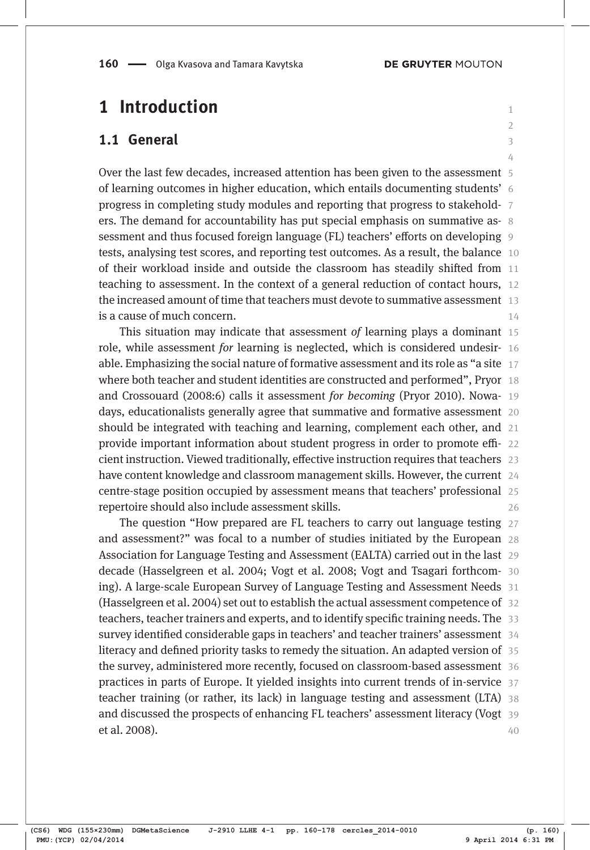1  $\overline{\mathcal{L}}$ 3  $\overline{A}$ 

## **1 Introduction**

## **1.1 General**

Over the last few decades, increased attention has been given to the assessment 5 of learning outcomes in higher education, which entails documenting students' 6 progress in completing study modules and reporting that progress to stakehold-7 ers. The demand for accountability has put special emphasis on summative as-8 sessment and thus focused foreign language (FL) teachers' efforts on developing 9 tests, analysing test scores, and reporting test outcomes. As a result, the balance 10 of their workload inside and outside the classroom has steadily shifted from 11 teaching to assessment. In the context of a general reduction of contact hours, 12 the increased amount of time that teachers must devote to summative assessment 13 is a cause of much concern. 14

This situation may indicate that assessment *of* learning plays a dominant 15 role, while assessment *for* learning is neglected, which is considered undesir-16 able. Emphasizing the social nature of formative assessment and its role as "a site 17 where both teacher and student identities are constructed and performed", Pryor 18 and Crossouard (2008:6) calls it assessment *for becoming* (Pryor 2010). Nowa-19 days, educationalists generally agree that summative and formative assessment 20 should be integrated with teaching and learning, complement each other, and 21 provide important information about student progress in order to promote effi-22 cient instruction. Viewed traditionally, effective instruction requires that teachers 23 have content knowledge and classroom management skills. However, the current 24 centre-stage position occupied by assessment means that teachers' professional 25 repertoire should also include assessment skills. 26

The question "How prepared are FL teachers to carry out language testing 27 and assessment?" was focal to a number of studies initiated by the European 28 Association for Language Testing and Assessment (EALTA) carried out in the last 29 decade (Hasselgreen et al. 2004; Vogt et al. 2008; Vogt and Tsagari forthcom-30 ing). A large-scale European Survey of Language Testing and Assessment Needs 31 (Hasselgreen et al. 2004) set out to establish the actual assessment competence of 32 teachers, teacher trainers and experts, and to identify specific training needs. The 33 survey identified considerable gaps in teachers' and teacher trainers' assessment 34 literacy and defined priority tasks to remedy the situation. An adapted version of 35 the survey*,* administered more recently, focused on classroom-based assessment 36 practices in parts of Europe. It yielded insights into current trends of in-service 37 teacher training (or rather, its lack) in language testing and assessment (LTA) 38 and discussed the prospects of enhancing FL teachers' assessment literacy (Vogt 39 et al. 2008). 40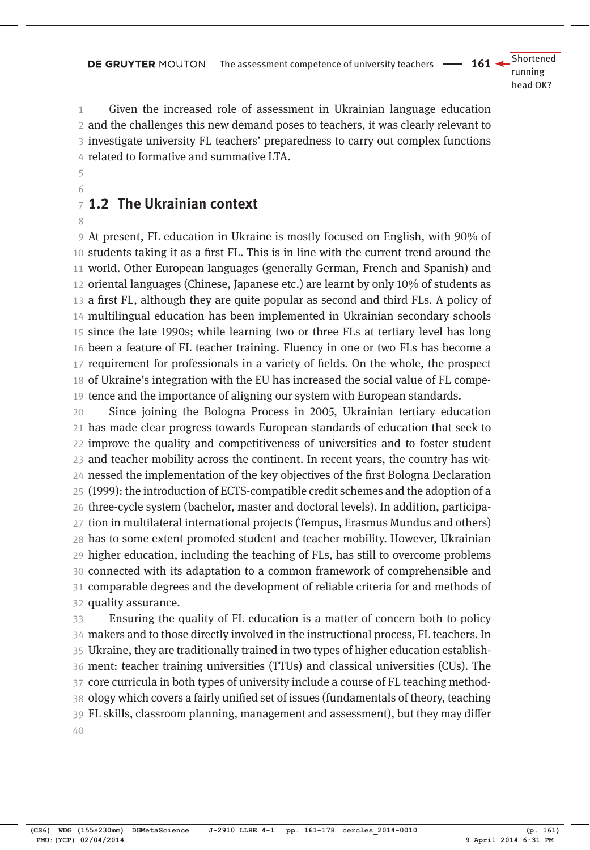

Given the increased role of assessment in Ukrainian language education 2 and the challenges this new demand poses to teachers, it was clearly relevant to investigate university FL teachers' preparedness to carry out complex functions 3 4 related to formative and summative LTA. 1

5 6

#### **1.2 The Ukrainian context** 7

8

At present, FL education in Ukraine is mostly focused on English, with 90% of 9  $10$  students taking it as a first FL. This is in line with the current trend around the world. Other European languages (generally German, French and Spanish) and 11  $12$  oriental languages (Chinese, Japanese etc.) are learnt by only  $10\%$  of students as 13 a first FL, although they are quite popular as second and third FLs. A policy of multilingual education has been implemented in Ukrainian secondary schools 14 15 since the late 1990s; while learning two or three FLs at tertiary level has long 16 been a feature of FL teacher training. Fluency in one or two FLs has become a 17 requirement for professionals in a variety of fields. On the whole, the prospect  $18$  of Ukraine's integration with the EU has increased the social value of FL compe-19 tence and the importance of aligning our system with European standards.

Since joining the Bologna Process in 2005, Ukrainian tertiary education has made clear progress towards European standards of education that seek to 21 22 improve the quality and competitiveness of universities and to foster student 23 and teacher mobility across the continent. In recent years, the country has wit- $24$  nessed the implementation of the key objectives of the first Bologna Declaration (1999): the introduction of ECTS-compatible credit schemes and the adoption of a 25 26 three-cycle system (bachelor, master and doctoral levels). In addition, participation in multilateral international projects (Tempus, Erasmus Mundus and others) 27 has to some extent promoted student and teacher mobility. However, Ukrainian 28 higher education, including the teaching of FLs, has still to overcome problems 29 connected with its adaptation to a common framework of comprehensible and 30 comparable degrees and the development of reliable criteria for and methods of 31 32 quality assurance.  $20$ 

Ensuring the quality of FL education is a matter of concern both to policy makers and to those directly involved in the instructional process, FL teachers. In 34 Ukraine, they are traditionally trained in two types of higher education establish-35 ment: teacher training universities (TTUs) and classical universities (CUs). The 36  $37\,$  core curricula in both types of university include a course of FL teaching method-38 ology which covers a fairly unified set of issues (fundamentals of theory, teaching FL skills, classroom planning, management and assessment), but they may differ 39 33 40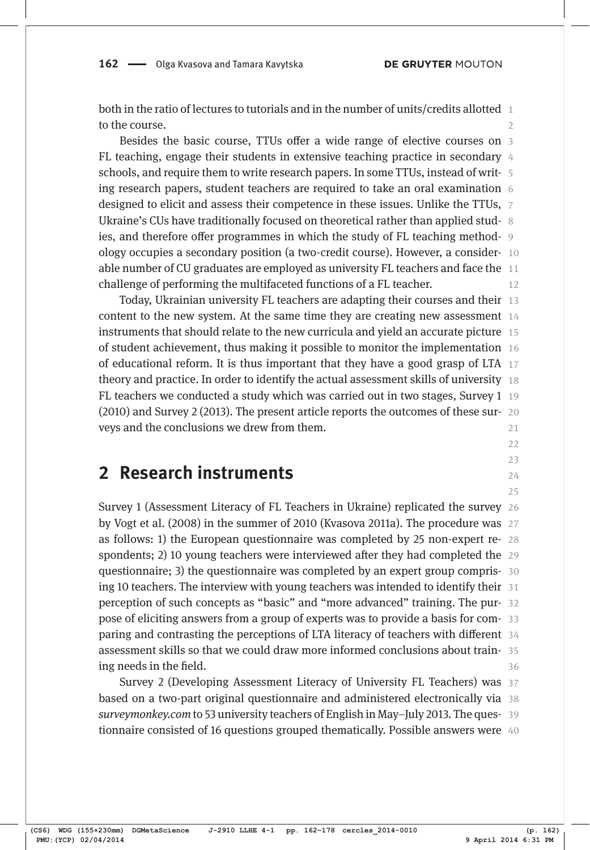both in the ratio of lectures to tutorials and in the number of units/credits allotted  $\,$   $\,$   $\,$ to the course. 2

Besides the basic course, TTUs offer a wide range of elective courses on 3 FL teaching, engage their students in extensive teaching practice in secondary 4 schools, and require them to write research papers. In some TTUs, instead of writ-5 ing research papers, student teachers are required to take an oral examination  $\,$  6 designed to elicit and assess their competence in these issues. Unlike the TTUs, 7 Ukraine's CUs have traditionally focused on theoretical rather than applied stud-8 ies, and therefore offer programmes in which the study of FL teaching method-9 ology occupies a secondary position (a two-credit course). However, a consider-10 able number of CU graduates are employed as university FL teachers and face the 11 challenge of performing the multifaceted functions of a FL teacher. 12

Today, Ukrainian university FL teachers are adapting their courses and their 13 content to the new system. At the same time they are creating new assessment 14 instruments that should relate to the new curricula and yield an accurate picture 15 of student achievement, thus making it possible to monitor the implementation 16 of educational reform. It is thus important that they have a good grasp of LTA 17 theory and practice. In order to identify the actual assessment skills of university 18 FL teachers we conducted a study which was carried out in two stages, Survey 1 19 (2010) and Survey 2 (2013). The present article reports the outcomes of these sur-20 veys and the conclusions we drew from them. 21

## 22

#### $23$

 $24$  $25$ 

# **2 Research instruments**

Survey 1 (Assessment Literacy of FL Teachers in Ukraine) replicated the survey 26 by Vogt et al. (2008) in the summer of 2010 (Kvasova 2011a). The procedure was 27 as follows: 1) the European questionnaire was completed by 25 non-expert re-28 spondents; 2) 10 young teachers were interviewed after they had completed the 29 questionnaire; 3) the questionnaire was completed by an expert group compris-30 ing 10 teachers. The interview with young teachers was intended to identify their 31 perception of such concepts as "basic" and "more advanced" training. The pur-32 pose of eliciting answers from a group of experts was to provide a basis for com-33 paring and contrasting the perceptions of LTA literacy of teachers with different 34 assessment skills so that we could draw more informed conclusions about train-35 ing needs in the field. 36

Survey 2 (Developing Assessment Literacy of University FL Teachers) was 37 based on a two-part original questionnaire and administered electronically via 38 *surveymonkey.com* to 53 university teachers of English in May–July 2013. The ques-39 tionnaire consisted of 16 questions grouped thematically. Possible answers were 40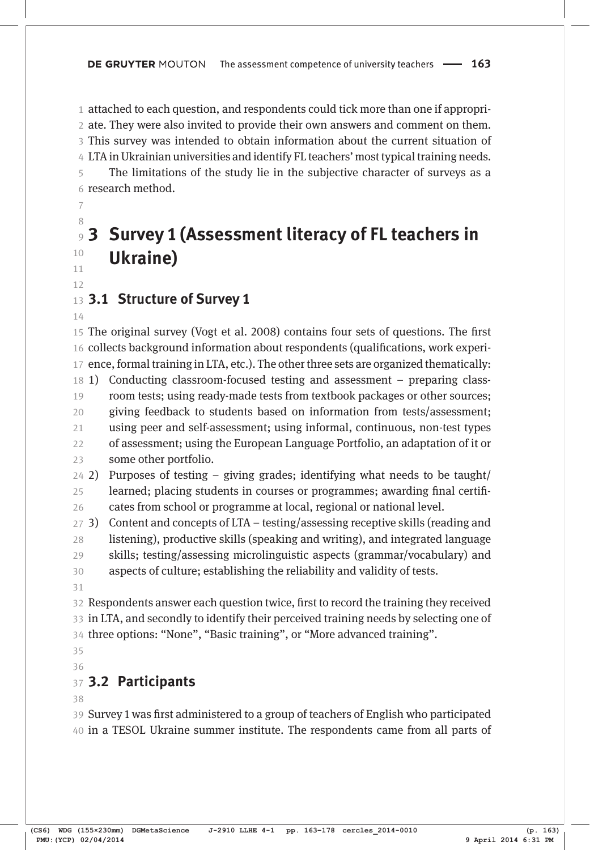1 attached to each question, and respondents could tick more than one if appropri-2 ate. They were also invited to provide their own answers and comment on them. This survey was intended to obtain information about the current situation of 3 LTA in Ukrainian universities and identify FL teachers' most typical training needs. 4 The limitations of the study lie in the subjective character of surveys as a 5

### 6 research method.

#### **3 Survey 1 (Assessment literacy of FL teachers in Ukraine)** 8 9 10 11

12

7

## **3.1 Structure of Survey 1** 13

14

15 The original survey (Vogt et al. 2008) contains four sets of questions. The first 16 collects background information about respondents (qualifications, work experi-17 ence, formal training in LTA, etc.). The other three sets are organized thematically: 18 1) Conducting classroom-focused testing and assessment – preparing classroom tests; using ready-made tests from textbook packages or other sources; giving feedback to students based on information from tests/assessment; using peer and self-assessment; using informal, continuous, non‐test types of assessment; using the European Language Portfolio, an adaptation of it or some other portfolio. 19  $20$ 21 22 23

 $24$  2) Purposes of testing – giving grades; identifying what needs to be taught/ learned; placing students in courses or programmes; awarding final certificates from school or programme at local, regional or national level. 25 26

3) Content and concepts of LTA – testing/assessing receptive skills (reading and listening), productive skills (speaking and writing), and integrated language skills; testing/assessing microlinguistic aspects (grammar/vocabulary) and aspects of culture; establishing the reliability and validity of tests.  $273$  $28$ 29 30

31

32 Respondents answer each question twice, first to record the training they received 33 in LTA, and secondly to identify their perceived training needs by selecting one of 34 three options: "None", "Basic training", or "More advanced training".

35 36

## **3.2 Participants**  37

38

Survey 1 was first administered to a group of teachers of English who participated 39 40 in a TESOL Ukraine summer institute. The respondents came from all parts of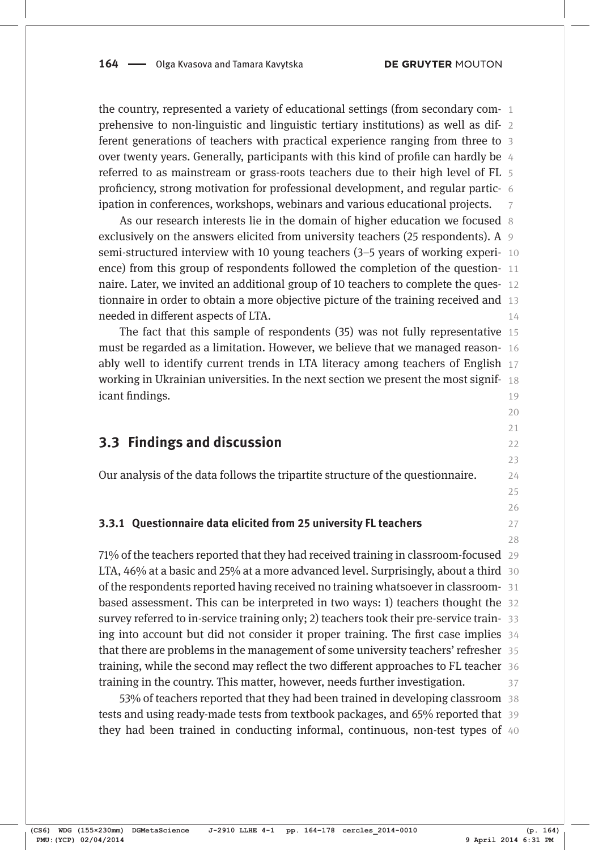the country, represented a variety of educational settings (from secondary com-1 prehensive to non-linguistic and linguistic tertiary institutions) as well as dif-2 ferent generations of teachers with practical experience ranging from three to 3 over twenty years. Generally, participants with this kind of profile can hardly be 4 referred to as mainstream or grass-roots teachers due to their high level of FL 5 proficiency, strong motivation for professional development, and regular partic-6 ipation in conferences, workshops, webinars and various educational projects. 7

As our research interests lie in the domain of higher education we focused 8 exclusively on the answers elicited from university teachers (25 respondents). A 9 semi-structured interview with 10 young teachers (3–5 years of working experi-10 ence) from this group of respondents followed the completion of the question-11 naire. Later, we invited an additional group of 10 teachers to complete the ques-12 tionnaire in order to obtain a more objective picture of the training received and 13 needed in different aspects of LTA. 14

The fact that this sample of respondents (35) was not fully representative 15 must be regarded as a limitation. However, we believe that we managed reason-16 ably well to identify current trends in LTA literacy among teachers of English 17 working in Ukrainian universities. In the next section we present the most signif-18 icant findings. 19

### **3.3 Findings and discussion**

Our analysis of the data follows the tripartite structure of the questionnaire.

#### **3.3.1 Questionnaire data elicited from 25 university FL teachers**

71% of the teachers reported that they had received training in classroom‐focused 29 LTA, 46% at a basic and 25% at a more advanced level. Surprisingly, about a third 30 of the respondents reported having received no training whatsoever in classroom-31 based assessment. This can be interpreted in two ways: 1) teachers thought the 32 survey referred to in-service training only; 2) teachers took their pre-service train-33 ing into account but did not consider it proper training. The first case implies 34 that there are problems in the management of some university teachers' refresher 35 training, while the second may reflect the two different approaches to FL teacher 36 training in the country. This matter, however, needs further investigation. 37

53% of teachers reported that they had been trained in developing classroom 38 tests and using ready‐made tests from textbook packages, and 65% reported that 39 they had been trained in conducting informal, continuous, non‐test types of 40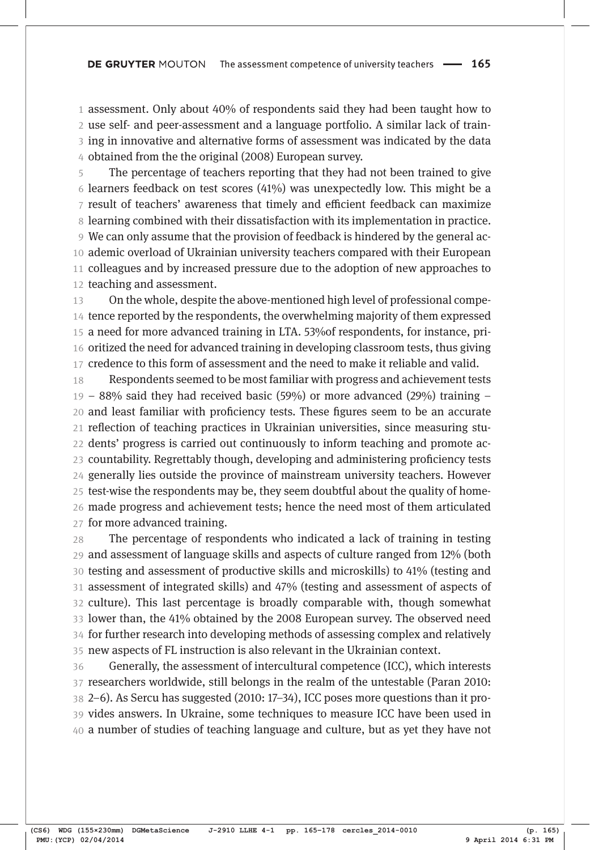assessment. Only about 40% of respondents said they had been taught how to 1 use self- and peer-assessment and a language portfolio. A similar lack of train-2 ing in innovative and alternative forms of assessment was indicated by the data 3 obtained from the the original (2008) European survey. 4

The percentage of teachers reporting that they had not been trained to give learners feedback on test scores (41%) was unexpectedly low. This might be a 6 7 result of teachers' awareness that timely and efficient feedback can maximize learning combined with their dissatisfaction with its implementation in practice. 8 We can only assume that the provision of feedback is hindered by the general ac-9 10 ademic overload of Ukrainian university teachers compared with their European 11 colleagues and by increased pressure due to the adoption of new approaches to 12 teaching and assessment. 5

On the whole, despite the above-mentioned high level of professional compe-14 tence reported by the respondents, the overwhelming majority of them expressed 15 a need for more advanced training in LTA. 53% of respondents, for instance, pri-16 oritized the need for advanced training in developing classroom tests, thus giving 17 credence to this form of assessment and the need to make it reliable and valid. 13

Respondents seemed to be most familiar with progress and achievement tests  $19 - 88\%$  said they had received basic (59%) or more advanced (29%) training  $$ and least familiar with proficiency tests. These figures seem to be an accurate 20  $21$  reflection of teaching practices in Ukrainian universities, since measuring stu-22 dents' progress is carried out continuously to inform teaching and promote accountability. Regrettably though, developing and administering proficiency tests 23 generally lies outside the province of mainstream university teachers. However 24 25 test-wise the respondents may be, they seem doubtful about the quality of homemade progress and achievement tests; hence the need most of them articulated 26 27 for more advanced training. 18

The percentage of respondents who indicated a lack of training in testing and assessment of language skills and aspects of culture ranged from 12% (both 29 30 testing and assessment of productive skills and microskills) to 41% (testing and assessment of integrated skills) and 47% (testing and assessment of aspects of 31 32 culture). This last percentage is broadly comparable with, though somewhat 33 lower than, the 41% obtained by the 2008 European survey. The observed need 34 for further research into developing methods of assessing complex and relatively 35 new aspects of FL instruction is also relevant in the Ukrainian context. 28

Generally, the assessment of intercultural competence (ICC), which interests 37 researchers worldwide, still belongs in the realm of the untestable (Paran 2010: 2–6). As Sercu has suggested (2010: 17–34), ICC poses more questions than it pro-38 39 vides answers. In Ukraine, some techniques to measure ICC have been used in 40 a number of studies of teaching language and culture, but as yet they have not 36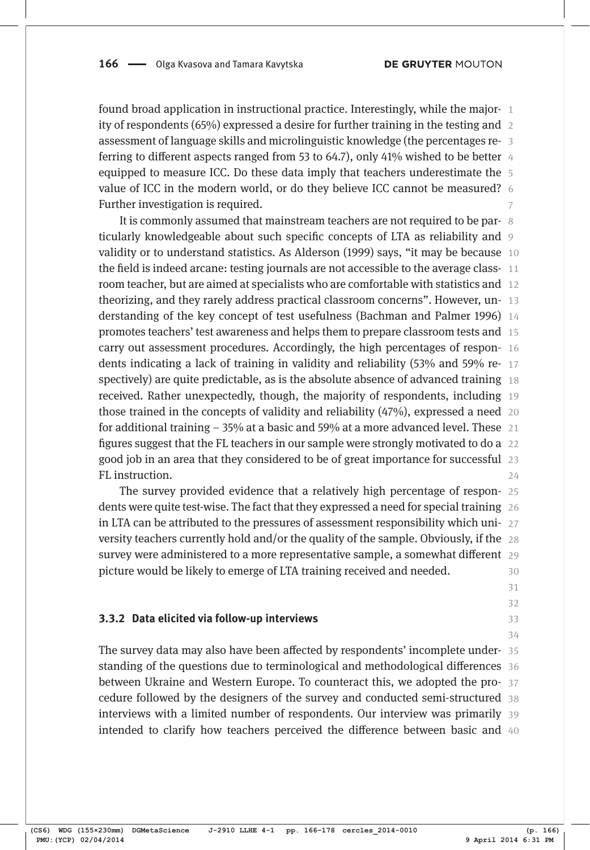found broad application in instructional practice. Interestingly, while the major-1 ity of respondents (65%) expressed a desire for further training in the testing and 2 assessment of language skills and microlinguistic knowledge (the percentages re-3 ferring to different aspects ranged from 53 tо 64.7), only 41% wished to be better 4 equipped to measure ICC. Do these data imply that teachers underestimate the 5 value of ICC in the modern world, or do they believe ICC cannot be measured? 6 Further investigation is required. 7

It is commonly assumed that mainstream teachers are not required to be par-8 ticularly knowledgeable about such specific concepts of LTA as reliability and 9 validity or to understand statistics. As Alderson (1999) says, "it may be because 10 the field is indeed arcane: testing journals are not accessible to the average class-11 room teacher, but are aimed at specialists who are comfortable with statistics and 12 theorizing, and they rarely address practical classroom concerns". However, un-13 derstanding of the key concept of test usefulness (Bachman and Palmer 1996) 14 promotes teachers' test awareness and helps them to prepare classroom tests and 15 carry out assessment procedures. Accordingly, the high percentages of respon-16 dents indicating a lack of training in validity and reliability (53% and 59% re-17 spectively) are quite predictable, as is the absolute absence of advanced training  $\,$   $_{18}$ received. Rather unexpectedly, though, the majority of respondents, including 19 those trained in the concepts of validity and reliability (47%), expressed a need 20 for additional training – 35% at a basic and 59% at a more advanced level. These 21 figures suggest that the FL teachers in our sample were strongly motivated to do a 22 good job in an area that they considered to be of great importance for successful 23 FL instruction. 24

The survey provided evidence that a relatively high percentage of respon-25 dents were quite test-wise. The fact that they expressed a need for special training 26 in LTA can be attributed to the pressures of assessment responsibility which uni-27 versity teachers currently hold and/or the quality of the sample. Obviously, if the 28 survey were administered to a more representative sample, a somewhat different 29 picture would be likely to emerge of LTA training received and needed. 30

#### **3.3.2 Data elicited via follow-up interviews**

The survey data may also have been affected by respondents' incomplete under-35 standing of the questions due to terminological and methodological differences 36 between Ukraine and Western Europe. To counteract this, we adopted the pro-37 cedure followed by the designers of the survey and conducted semi-structured 38 interviews with a limited number of respondents. Our interview was primarily 39 intended to clarify how teachers perceived the difference between basic and 40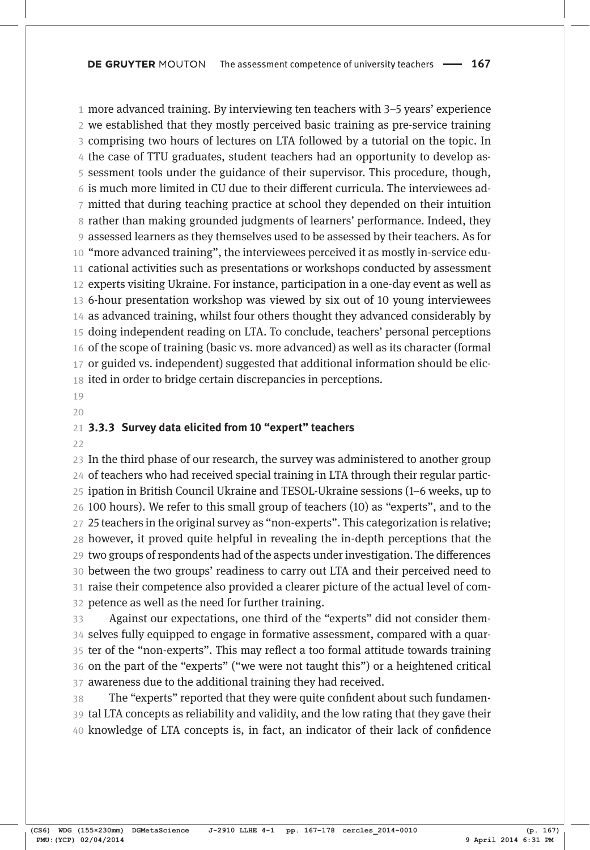more advanced training. By interviewing ten teachers with 3–5 years' experience 1 we established that they mostly perceived basic training as pre-service training 2 comprising two hours of lectures on LTA followed by a tutorial on the topic. In 3 the case of TTU graduates, student teachers had an opportunity to develop as-4 sessment tools under the guidance of their supervisor. This procedure, though, 5  $\epsilon$  is much more limited in CU due to their different curricula. The interviewees admitted that during teaching practice at school they depended on their intuition 7 rather than making grounded judgments of learners' performance. Indeed, they 8 assessed learners as they themselves used to be assessed by their teachers. As for 9 "more advanced training", the interviewees perceived it as mostly in-service edu-10 11 cational activities such as presentations or workshops conducted by assessment 12 experts visiting Ukraine. For instance, participation in a one-day event as well as 6-hour presentation workshop was viewed by six out of 10 young interviewees 13 14 as advanced training, whilst four others thought they advanced considerably by 15 doing independent reading on LTA. To conclude, teachers' personal perceptions 16 of the scope of training (basic vs. more advanced) as well as its character (formal 17 or guided vs. independent) suggested that additional information should be elic-18 ited in order to bridge certain discrepancies in perceptions.

19  $20$ 

#### **3.3.3 Survey data elicited from 10 "expert" teachers**  21

22

23 In the third phase of our research, the survey was administered to another group  $24$  of teachers who had received special training in LTA through their regular partic-25 ipation in British Council Ukraine and TESOL-Ukraine sessions (1–6 weeks, up to 100 hours). We refer to this small group of teachers (10) as "experts", and to the 26 25 teachers in the original survey as "non-experts". This categorization is relative; 27 28 however, it proved quite helpful in revealing the in-depth perceptions that the two groups of respondents had of the aspects under investigation. The differences 29 between the two groups' readiness to carry out LTA and their perceived need to 30  $31$  raise their competence also provided a clearer picture of the actual level of competence as well as the need for further training. 32

Against our expectations, one third of the "experts" did not consider themselves fully equipped to engage in formative assessment, compared with a quar-34 35 ter of the "non-experts". This may reflect a too formal attitude towards training 36 on the part of the "experts" ("we were not taught this") or a heightened critical 37 awareness due to the additional training they had received. 33

The "experts" reported that they were quite confident about such fundamen- $39\,$  tal LTA concepts as reliability and validity, and the low rating that they gave their knowledge of LTA concepts is, in fact, an indicator of their lack of confidence 40 38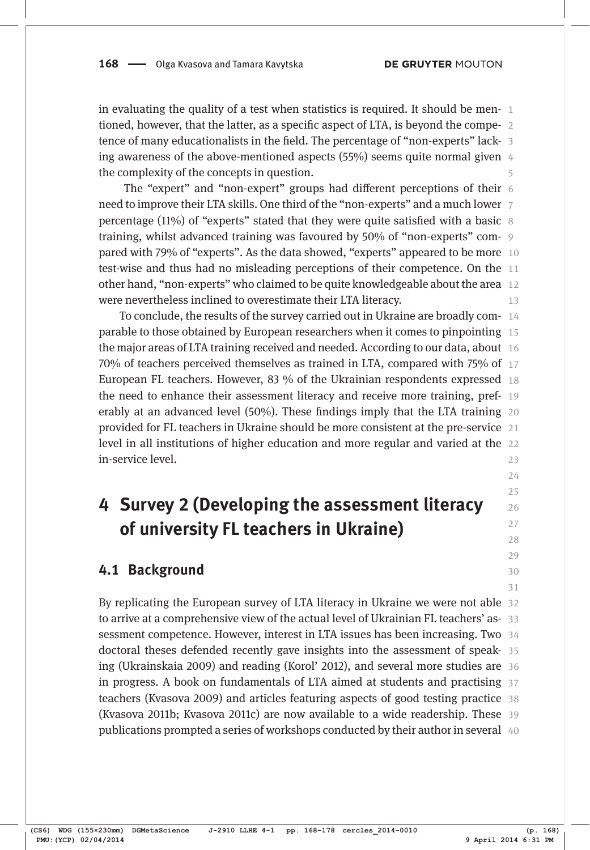in evaluating the quality of a test when statistics is required. It should be men-1 tioned, however, that the latter, as a specific aspect of LTA, is beyond the compe-2 tence of many educationalists in the field. The percentage of "non-experts" lack-3 ing awareness of the above-mentioned aspects (55%) seems quite normal given 4 the complexity of the concepts in question. 5

 The "expert" and "non-expert" groups had different perceptions of their 6 need to improve their LTA skills. One third of the "non-experts" and a much lower 7 percentage (11%) of "experts" stated that they were quite satisfied with a basic 8 training, whilst advanced training was favoured by 50% of "non-experts" com-9 pared with 79% of "experts". As the data showed, "experts" appeared to be more 10 test-wise and thus had no misleading perceptions of their competence. On the 11 other hand, "non-experts" who claimed to be quite knowledgeable about the area 12 were nevertheless inclined to overestimate their LTA literacy. 13

To conclude, the results of the survey carried out in Ukraine are broadly com-14 parable to those obtained by European researchers when it comes to pinpointing 15 the major areas of LTA training received and needed. According to our data, about 16 70% of teachers perceived themselves as trained in LTA, compared with 75% of 17 European FL teachers. However, 83 % of the Ukrainian respondents expressed 18 the need to enhance their assessment literacy and receive more training, pref-19 erably at an advanced level (50%). These findings imply that the LTA training 20 provided for FL teachers in Ukraine should be more consistent at the pre-service 21 level in all institutions of higher education and more regular and varied at the 22 in-service level.  $23$ 

# **4 Survey 2 (Developing the assessment literacy of university FL teachers in Ukraine)**

### **4.1 Background**

By replicating the European survey of LTA literacy in Ukraine we were not able 32 to arrive at a comprehensive view of the actual level of Ukrainian FL teachers' as-33 sessment competence. However, interest in LTA issues has been increasing. Two 34 doctoral theses defended recently gave insights into the assessment of speak-35 ing (Ukrainskaia 2009) and reading (Korol' 2012), and several more studies are 36 in progress. A book on fundamentals of LTA aimed at students and practising 37 teachers (Kvasova 2009) and articles featuring aspects of good testing practice 38 (Kvasova 2011b; Kvasova 2011c) are now available to a wide readership. These 39 publications prompted a series of workshops conducted by their author in several 40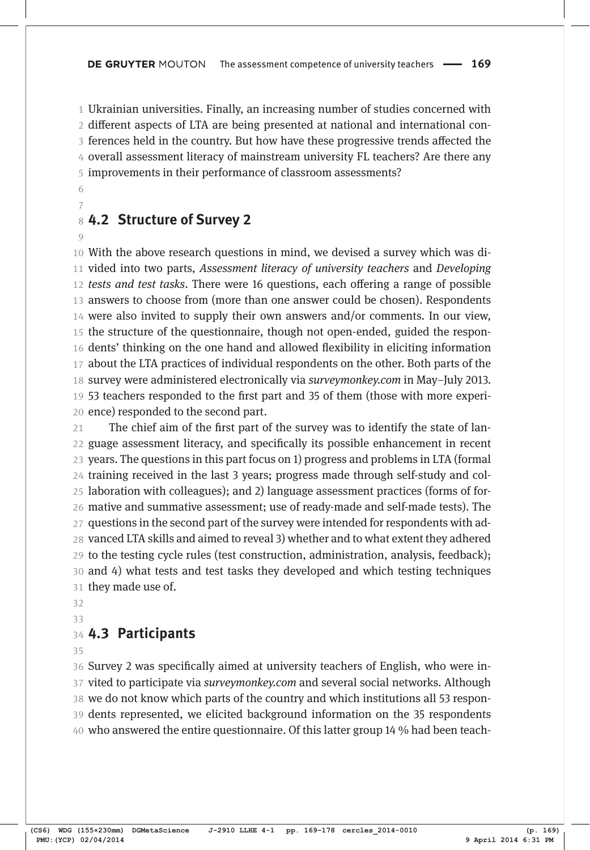Ukrainian universities. Finally, an increasing number of studies concerned with 1 different aspects of LTA are being presented at national and international con-2 ferences held in the country. But how have these progressive trends affected the 3 4 overall assessment literacy of mainstream university FL teachers? Are there any 5 improvements in their performance of classroom assessments? 6

7

## **4.2 Structure of Survey 2**  8

 $\alpha$ 

With the above research questions in mind, we devised a survey which was di-10 11 vided into two parts, Assessment literacy of university teachers and Developing *tests and test tasks*. There were 16 questions, each offering a range of possible 12 answers to choose from (more than one answer could be chosen). Respondents 13 were also invited to supply their own answers and/or comments. In our view, 14 15 the structure of the questionnaire, though not open-ended, guided the respon-16 dents' thinking on the one hand and allowed flexibility in eliciting information 17 about the LTA practices of individual respondents on the other. Both parts of the 18 survey were administered electronically via *surveymonkey.com* in May–July 2013. 53 teachers responded to the first part and 35 of them (those with more experi-19 20 ence) responded to the second part.

The chief aim of the first part of the survey was to identify the state of lan-22 guage assessment literacy, and specifically its possible enhancement in recent 23 years. The questions in this part focus on 1) progress and problems in LTA (formal  $24$  training received in the last 3 years; progress made through self-study and collaboration with colleagues); and 2) language assessment practices (forms of for-25 mative and summative assessment; use of ready-made and self-made tests). The 26  $27$  questions in the second part of the survey were intended for respondents with advanced LTA skills and aimed to reveal 3) whether and to what extent they adhered 28 29 to the testing cycle rules (test construction, administration, analysis, feedback); and 4) what tests and test tasks they developed and which testing techniques 30 31 they made use of. 21

32 33

## **4.3 Participants**  34

35

Survey 2 was specifically aimed at university teachers of English, who were in-36 37 vited to participate via *surveymonkey.com* and several social networks. Although 38 we do not know which parts of the country and which institutions all 53 respondents represented, we elicited background information on the 35 respondents 39  $40\,$  who answered the entire questionnaire. Of this latter group 14  $\%$  had been teach-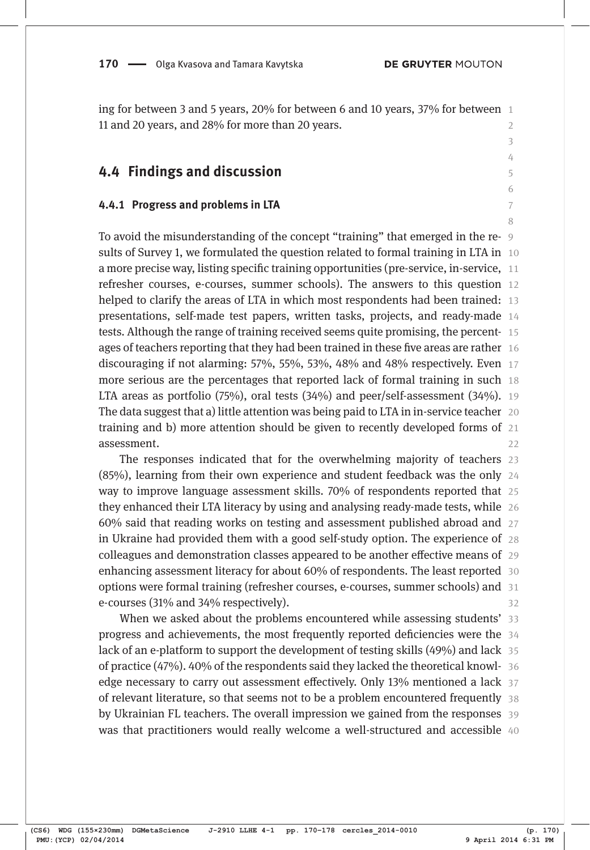ing for between 3 and 5 years, 20% for between 6 and 10 years, 37% for between 1 11 and 20 years, and 28% for more than 20 years.  $\overline{\phantom{a}}$ 

## **4.4 Findings and discussion**

#### **4.4.1 Progress and problems in LTA**

To avoid the misunderstanding of the concept "training" that emerged in the re-9 sults of Survey 1, we formulated the question related to formal training in LTA in 10 a more precise way, listing specific training opportunities (pre-service, in-service, 11 refresher courses, e-courses, summer schools). The answers to this question 12 helped to clarify the areas of LTA in which most respondents had been trained: 13 presentations, self-made test papers, written tasks, projects, and ready-made 14 tests. Although the range of training received seems quite promising, the percent-15 ages of teachers reporting that they had been trained in these five areas are rather 16 discouraging if not alarming: 57%, 55%, 53%, 48% and 48% respectively. Even 17 more serious are the percentages that reported lack of formal training in such 18 LTA areas as portfolio (75%), oral tests (34%) and peer/self-assessment (34%). 19 The data suggest that a) little attention was being paid to LTA in in-service teacher 20 training and b) more attention should be given to recently developed forms of 21 assessment. 22

The responses indicated that for the overwhelming majority of teachers 23 (85%), learning from their own experience and student feedback was the only 24 way to improve language assessment skills. 70% of respondents reported that 25 they enhanced their LTA literacy by using and analysing ready-made tests, while 26 60% said that reading works on testing and assessment published abroad and 27 in Ukraine had provided them with a good self-study option. The experience of 28 colleagues and demonstration classes appeared to be another effective means of 29 enhancing assessment literacy for about 60% of respondents. The least reported 30 options were formal training (refresher courses, e-courses, summer schools) and 31 e-courses (31% and 34% respectively). 32

When we asked about the problems encountered while assessing students' 33 progress and achievements, the most frequently reported deficiencies were the 34 lack of an e-platform to support the development of testing skills (49%) and lack 35 of practice (47%). 40% of the respondents said they lacked the theoretical knowl-36 edge necessary to carry out assessment effectively. Only 13% mentioned a lack 37 of relevant literature, so that seems not to be a problem encountered frequently 38 by Ukrainian FL teachers. The overall impression we gained from the responses 39 was that practitioners would really welcome a well-structured and accessible 40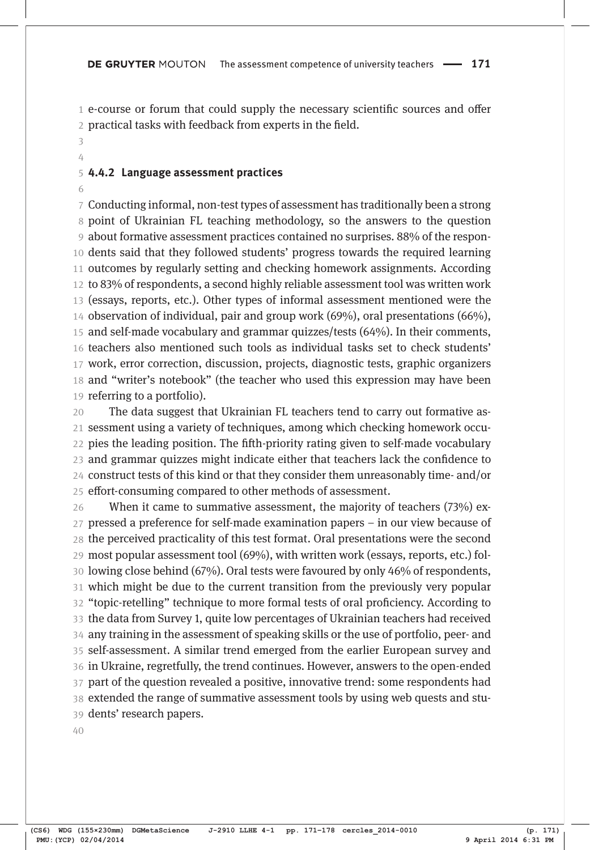e-course or forum that could supply the necessary scientific sources and offer 1 practical tasks with feedback from experts in the field. 2

3  $\frac{1}{4}$ 

### **4.4.2 Language assessment practices**  5

6

Conducting informal, non-test types of assessment has traditionally been a strong 7 point of Ukrainian FL teaching methodology, so the answers to the question 8 about formative assessment practices contained no surprises*.* 88% of the respon-9 10 dents said that they followed students' progress towards the required learning 11 outcomes by regularly setting and checking homework assignments. According  $12$  to 83% of respondents, a second highly reliable assessment tool was written work 13 (essays, reports, etc.). Other types of informal assessment mentioned were the  $14$  observation of individual, pair and group work (69%), oral presentations (66%), and self-made vocabulary and grammar quizzes/tests (64%). In their comments, 15 16 teachers also mentioned such tools as individual tasks set to check students' 17 work, error correction, discussion, projects, diagnostic tests, graphic organizers and "writer's notebook" (the teacher who used this expression may have been 18 19 referring to a portfolio).

The data suggest that Ukrainian FL teachers tend to carry out formative as-21 sessment using a variety of techniques, among which checking homework occupies the leading position. The fifth-priority rating given to self-made vocabulary 22 23 and grammar quizzes might indicate either that teachers lack the confidence to  $24$  construct tests of this kind or that they consider them unreasonably time- and/or 25 effort-consuming compared to other methods of assessment.  $20$ 

When it came to summative assessment, the majority of teachers (73%) ex- $27$  pressed a preference for self-made examination papers  $-$  in our view because of 28 the perceived practicality of this test format. Oral presentations were the second most popular assessment tool (69%), with written work (essays, reports, etc.) fol-29 lowing close behind (67%). Oral tests were favoured by only 46% of respondents, 30 31 which might be due to the current transition from the previously very popular "topic-retelling" technique to more formal tests of oral proficiency. According to 32 33 the data from Survey 1, quite low percentages of Ukrainian teachers had received any training in the assessment of speaking skills or the use of portfolio, peer- and 34 self-assessment. A similar trend emerged from the earlier European survey and 35  $36$  in Ukraine, regretfully, the trend continues. However, answers to the open-ended part of the question revealed a positive, innovative trend: some respondents had 37 extended the range of summative assessment tools by using web quests and stu-38 39 dents' research papers. 26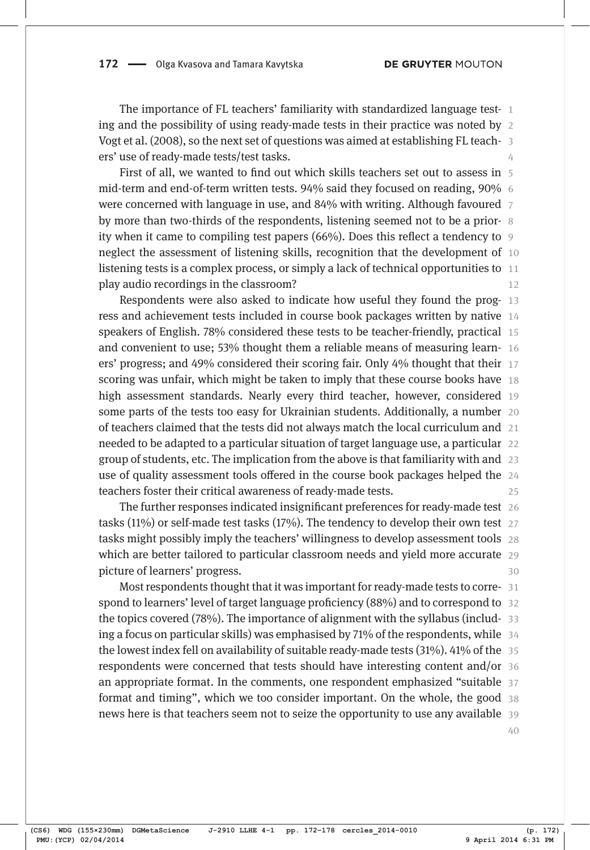The importance of FL teachers' familiarity with standardized language test-1 ing and the possibility of using ready-made tests in their practice was noted by 2 Vogt et al. (2008), so the next set of questions was aimed at establishing FL teach-3 ers' use of ready-made tests/test tasks. 4

First of all, we wanted to find out which skills teachers set out to assess in 5 mid-term and end-of-term written tests. 94% said they focused on reading, 90% 6 were concerned with language in use, and 84% with writing. Although favoured 7 by more than two-thirds of the respondents, listening seemed not to be a prior-8 ity when it came to compiling test papers (66%). Does this reflect a tendency to 9 neglect the assessment of listening skills, recognition that the development of 10 listening tests is a complex process, or simply a lack of technical opportunities to 11 play audio recordings in the classroom? 12

Respondents were also asked to indicate how useful they found the prog-13 ress and achievement tests included in course book packages written by native 14 speakers of English. 78% considered these tests to be teacher-friendly, practical 15 and convenient to use; 53% thought them a reliable means of measuring learn-16 ers' progress; and 49% considered their scoring fair. Only 4% thought that their 17 scoring was unfair, which might be taken to imply that these course books have 18 high assessment standards. Nearly every third teacher, however, considered 19 some parts of the tests too easy for Ukrainian students. Additionally, a number 20 of teachers claimed that the tests did not always match the local curriculum and 21 needed to be adapted to a particular situation of target language use, a particular 22 group of students, etc. The implication from the above is that familiarity with and 23 use of quality assessment tools offered in the course book packages helped the 24 teachers foster their critical awareness of ready-made tests.  $25$ 

The further responses indicated insignificant preferences for ready-made test 26 tasks (11%) or self-made test tasks (17%). The tendency to develop their own test 27 tasks might possibly imply the teachers' willingness to develop assessment tools 28 which are better tailored to particular classroom needs and yield more accurate 29 picture of learners' progress. 30

Most respondents thought that it was important for ready-made tests to corre-31 spond to learners' level of target language proficiency (88%) and to correspond to 32 the topics covered (78%). The importance of alignment with the syllabus (includ-33 ing a focus on particular skills) was emphasised by 71% of the respondents, while 34 the lowest index fell on availability of suitable ready-made tests (31%). 41% of the 35 respondents were concerned that tests should have interesting content and/or 36 an appropriate format. In the comments, one respondent emphasized "suitable 37 format and timing", which we too consider important. On the whole, the good 38 news here is that teachers seem not to seize the opportunity to use any available 39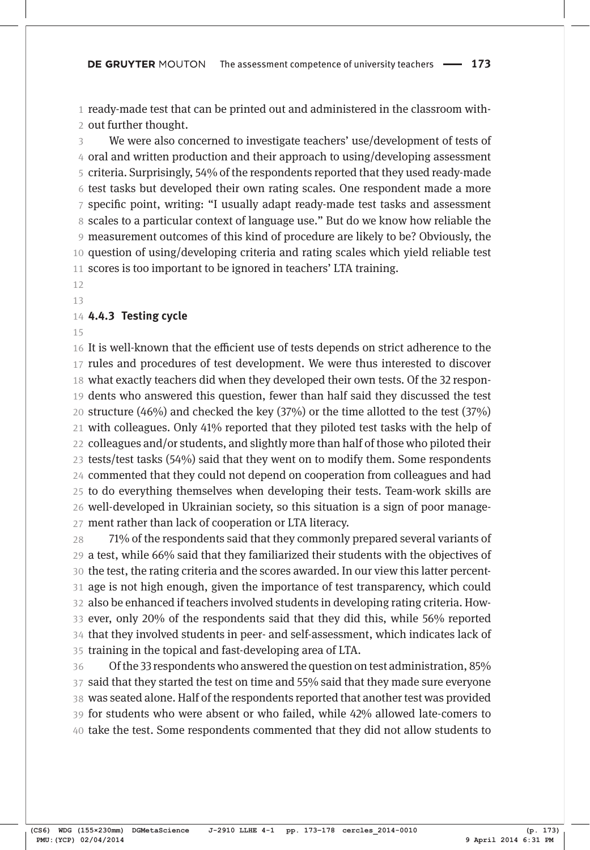1 ready-made test that can be printed out and administered in the classroom with-2 out further thought.

We were also concerned to investigate teachers' use/development of tests of 4 oral and written production and their approach to using/developing assessment 5 criteria. Surprisingly, 54% of the respondents reported that they used ready-made test tasks but developed their own rating scales. One respondent made a more 6 specific point, writing: "I usually adapt ready-made test tasks and assessment 7 scales to a particular context of language use." But do we know how reliable the 8 measurement outcomes of this kind of procedure are likely to be? Obviously, the 9  $10$  question of using/developing criteria and rating scales which yield reliable test 11 scores is too important to be ignored in teachers' LTA training. 3

12 13

### **4.4.3 Testing cycle**  14

15

16 It is well-known that the efficient use of tests depends on strict adherence to the 17 rules and procedures of test development. We were thus interested to discover what exactly teachers did when they developed their own tests. Of the 32 respon-18 dents who answered this question, fewer than half said they discussed the test 19  $20$  structure (46%) and checked the key (37%) or the time allotted to the test (37%)  $21$  with colleagues. Only 41% reported that they piloted test tasks with the help of  $22$  colleagues and/or students, and slightly more than half of those who piloted their 23 tests/test tasks (54%) said that they went on to modify them. Some respondents  $24$  commented that they could not depend on cooperation from colleagues and had 25 to do everything themselves when developing their tests. Team-work skills are well-developed in Ukrainian society, so this situation is a sign of poor manage-26 ment rather than lack of cooperation or LTA literacy. 27

71% of the respondents said that they commonly prepared several variants of 29 a test, while 66% said that they familiarized their students with the objectives of  $30$  the test, the rating criteria and the scores awarded. In our view this latter percentage is not high enough, given the importance of test transparency, which could 31 32 also be enhanced if teachers involved students in developing rating criteria. How-33 ever, only 20% of the respondents said that they did this, while 56% reported 34 that they involved students in peer- and self-assessment, which indicates lack of 35 training in the topical and fast-developing area of LTA. 28

Of the 33 respondents who answered the question on test administration, 85% 37 said that they started the test on time and 55% said that they made sure everyone was seated alone. Half of the respondents reported that another test was provided 38 for students who were absent or who failed, while 42% allowed late-comers to 39 40 take the test. Some respondents commented that they did not allow students to 36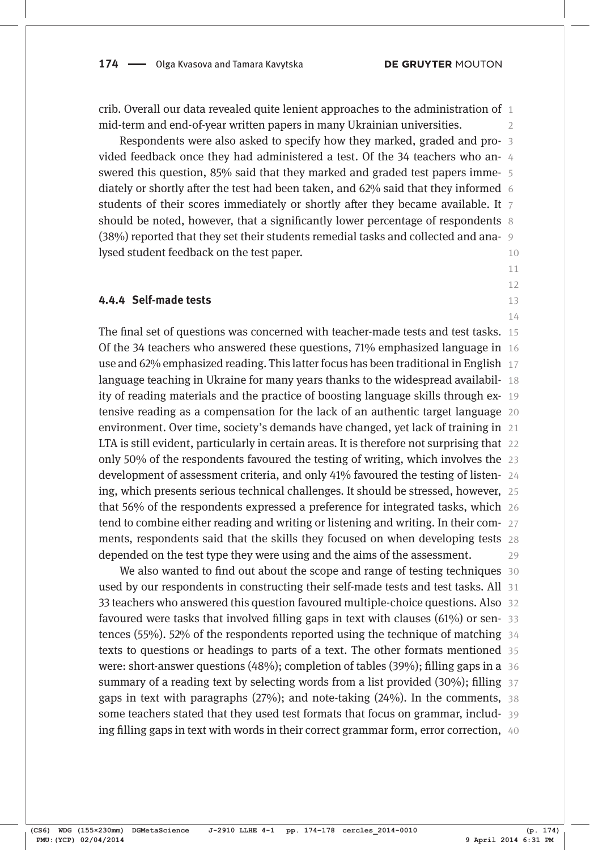crib. Overall our data revealed quite lenient approaches to the administration of 1 mid-term and end-of-year written papers in many Ukrainian universities. 2

Respondents were also asked to specify how they marked, graded and pro-3 vided feedback once they had administered a test. Of the 34 teachers who an-4 swered this question, 85% said that they marked and graded test papers imme-5 diately or shortly after the test had been taken, and 62% said that they informed 6 students of their scores immediately or shortly after they became available. It 7 should be noted, however, that a significantly lower percentage of respondents 8 (38%) reported that they set their students remedial tasks and collected and ana-9 lysed student feedback on the test paper. 10

#### **4.4.4 Self-made tests**

The final set of questions was concerned with teacher-made tests and test tasks. 15 Of the 34 teachers who answered these questions, 71% emphasized language in 16 use and 62% emphasized reading. This latter focus has been traditional in English 17 language teaching in Ukraine for many years thanks to the widespread availabil-18 ity of reading materials and the practice of boosting language skills through ex-19 tensive reading as a compensation for the lack of an authentic target language 20 environment. Over time, society's demands have changed, yet lack of training in 21 LTA is still evident, particularly in certain areas. It is therefore not surprising that 22 only 50% of the respondents favoured the testing of writing, which involves the 23 development of assessment criteria, and only 41% favoured the testing of listen-24 ing, which presents serious technical challenges. It should be stressed, however, 25 that 56% of the respondents expressed a preference for integrated tasks, which 26 tend to combine either reading and writing or listening and writing. In their com-27 ments, respondents said that the skills they focused on when developing tests 28 depended on the test type they were using and the aims of the assessment. 29

We also wanted to find out about the scope and range of testing techniques 30 used by our respondents in constructing their self-made tests and test tasks. All 31 33 teachers who answered this question favoured multiple-choice questions. Also 32 favoured were tasks that involved filling gaps in text with clauses (61%) or sen-33 tences (55%). 52% of the respondents reported using the technique of matching 34 texts to questions or headings to parts of a text. The other formats mentioned 35 were: short-answer questions (48%); completion of tables (39%); filling gaps in a 36 summary of a reading text by selecting words from a list provided (30%); filling 37 gaps in text with paragraphs (27%); and note-taking (24%). In the comments, 38 some teachers stated that they used test formats that focus on grammar, includ-39 ing filling gaps in text with words in their correct grammar form, error correction, 40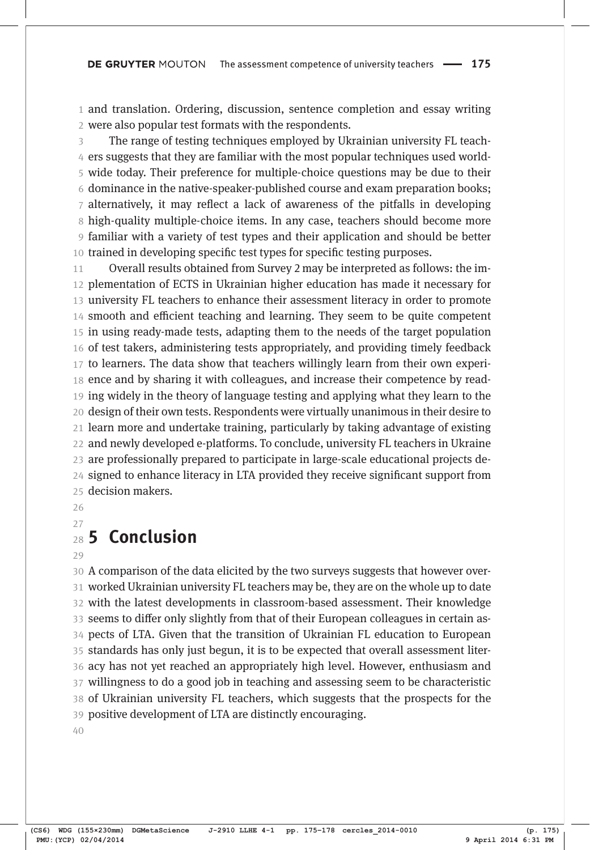and translation. Ordering, discussion, sentence completion and essay writing 1 were also popular test formats with the respondents. 2

The range of testing techniques employed by Ukrainian university FL teach-4 ers suggests that they are familiar with the most popular techniques used worldwide today. Their preference for multiple-choice questions may be due to their 5 dominance in the native-speaker-published course and exam preparation books; 6 alternatively, it may reflect a lack of awareness of the pitfalls in developing 7 high-quality multiple-choice items. In any case, teachers should become more 8 familiar with a variety of test types and their application and should be better 9 10 trained in developing specific test types for specific testing purposes. 3

Overall results obtained from Survey 2 may be interpreted as follows: the im-12 plementation of ECTS in Ukrainian higher education has made it necessary for 13 university FL teachers to enhance their assessment literacy in order to promote 14 smooth and efficient teaching and learning. They seem to be quite competent in using ready-made tests, adapting them to the needs of the target population 15 16 of test takers, administering tests appropriately, and providing timely feedback 17 to learners. The data show that teachers willingly learn from their own experi-18 ence and by sharing it with colleagues, and increase their competence by read-19 ing widely in the theory of language testing and applying what they learn to the 20 design of their own tests. Respondents were virtually unanimous in their desire to learn more and undertake training, particularly by taking advantage of existing 21 and newly developed e-platforms. To conclude, university FL teachers in Ukraine 22 23 are professionally prepared to participate in large-scale educational projects de- $24$  signed to enhance literacy in LTA provided they receive significant support from decision makers. 25 11

26

#### **5 Conclusion** 27  $28$

29

30 A comparison of the data elicited by the two surveys suggests that however over- $31\,$  worked Ukrainian university FL teachers may be, they are on the whole up to date 32 with the latest developments in classroom-based assessment. Their knowledge seems to differ only slightly from that of their European colleagues in certain as-33 pects of LTA. Given that the transition of Ukrainian FL education to European 34 standards has only just begun, it is to be expected that overall assessment liter-35 acy has not yet reached an appropriately high level. However, enthusiasm and 36 37 willingness to do a good job in teaching and assessing seem to be characteristic 38 of Ukrainian university FL teachers, which suggests that the prospects for the positive development of LTA are distinctly encouraging. 39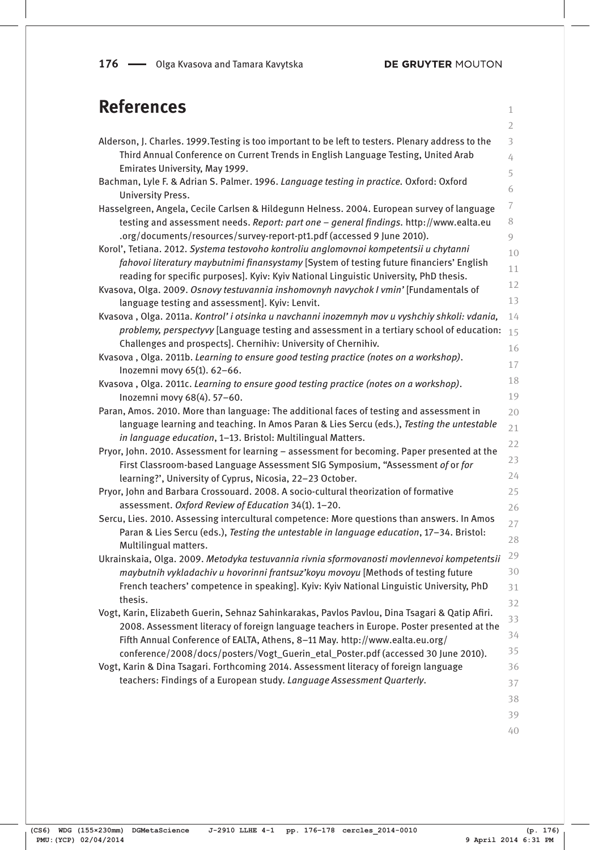176 **-** Olga Kvasova and Tamara Kavytska

1

# **References**

|                                                                                                                                                                                            | $\overline{2}$ |
|--------------------------------------------------------------------------------------------------------------------------------------------------------------------------------------------|----------------|
| Alderson, J. Charles. 1999. Testing is too important to be left to testers. Plenary address to the                                                                                         | 3              |
| Third Annual Conference on Current Trends in English Language Testing, United Arab                                                                                                         | 4              |
| Emirates University, May 1999.                                                                                                                                                             | 5              |
| Bachman, Lyle F. & Adrian S. Palmer. 1996. Language testing in practice. Oxford: Oxford                                                                                                    | 6              |
| University Press.<br>Hasselgreen, Angela, Cecile Carlsen & Hildegunn Helness. 2004. European survey of language                                                                            | 7              |
| testing and assessment needs. Report: part one - general findings. http://www.ealta.eu                                                                                                     | 8              |
| .org/documents/resources/survey-report-pt1.pdf (accessed 9 June 2010).                                                                                                                     | 9              |
| Korol', Tetiana. 2012. Systema testovoho kontroliu anglomovnoi kompetentsii u chytanni                                                                                                     | 10             |
| fahovoi literatury maybutnimi finansystamy [System of testing future financiers' English                                                                                                   | 11             |
| reading for specific purposes]. Kyiv: Kyiv National Linguistic University, PhD thesis.                                                                                                     |                |
| Kvasova, Olga. 2009. Osnovy testuvannia inshomovnyh navychok I vmin' [Fundamentals of                                                                                                      | 12             |
| language testing and assessment]. Kyiv: Lenvit.                                                                                                                                            | 13             |
| Kvasova, Olga. 2011a. Kontrol' i otsinka u navchanni inozemnyh mov u vyshchiy shkoli: vdania,<br>problemy, perspectyvy [Language testing and assessment in a tertiary school of education: | 14             |
| Challenges and prospects]. Chernihiv: University of Chernihiv.                                                                                                                             | 15             |
| Kvasova, Olga. 2011b. Learning to ensure good testing practice (notes on a workshop).                                                                                                      | 16             |
| Inozemni movy 65(1). 62-66.                                                                                                                                                                | 17             |
| Kvasova, Olga. 2011c. Learning to ensure good testing practice (notes on a workshop).                                                                                                      | 18             |
| Inozemni movy 68(4). 57-60.                                                                                                                                                                | 19             |
| Paran, Amos. 2010. More than language: The additional faces of testing and assessment in                                                                                                   | 20             |
| language learning and teaching. In Amos Paran & Lies Sercu (eds.), Testing the untestable                                                                                                  | 21             |
| in language education, 1-13. Bristol: Multilingual Matters.                                                                                                                                | 22             |
| Pryor, John. 2010. Assessment for learning - assessment for becoming. Paper presented at the<br>First Classroom-based Language Assessment SIG Symposium, "Assessment of or for             | 23             |
| learning?', University of Cyprus, Nicosia, 22-23 October.                                                                                                                                  | 24             |
| Pryor, John and Barbara Crossouard. 2008. A socio-cultural theorization of formative                                                                                                       | 25             |
| assessment. Oxford Review of Education 34(1). 1-20.                                                                                                                                        | 26             |
| Sercu, Lies. 2010. Assessing intercultural competence: More questions than answers. In Amos                                                                                                | 27             |
| Paran & Lies Sercu (eds.), Testing the untestable in language education, 17-34. Bristol:                                                                                                   | 28             |
| Multilingual matters.                                                                                                                                                                      | 29             |
| Ukrainskaia, Olga. 2009. Metodyka testuvannia rivnia sformovanosti movlennevoi kompetentsii<br>maybutnih vykladachiv u hovorinni frantsuz' koyu movoyu [Methods of testing future          | 30             |
| French teachers' competence in speaking]. Kyiv: Kyiv National Linguistic University, PhD                                                                                                   | 31             |
| thesis.                                                                                                                                                                                    |                |
| Vogt, Karin, Elizabeth Guerin, Sehnaz Sahinkarakas, Pavlos Pavlou, Dina Tsagari & Qatip Afiri.                                                                                             | 32             |
| 2008. Assessment literacy of foreign language teachers in Europe. Poster presented at the                                                                                                  | 33             |
| Fifth Annual Conference of EALTA, Athens, 8-11 May. http://www.ealta.eu.org/                                                                                                               | 34             |
| conference/2008/docs/posters/Vogt_Guerin_etal_Poster.pdf (accessed 30 June 2010).                                                                                                          | 35             |
| Vogt, Karin & Dina Tsagari. Forthcoming 2014. Assessment literacy of foreign language                                                                                                      | 36             |
| teachers: Findings of a European study. Language Assessment Quarterly.                                                                                                                     | 37             |
|                                                                                                                                                                                            | 38             |
|                                                                                                                                                                                            | 39             |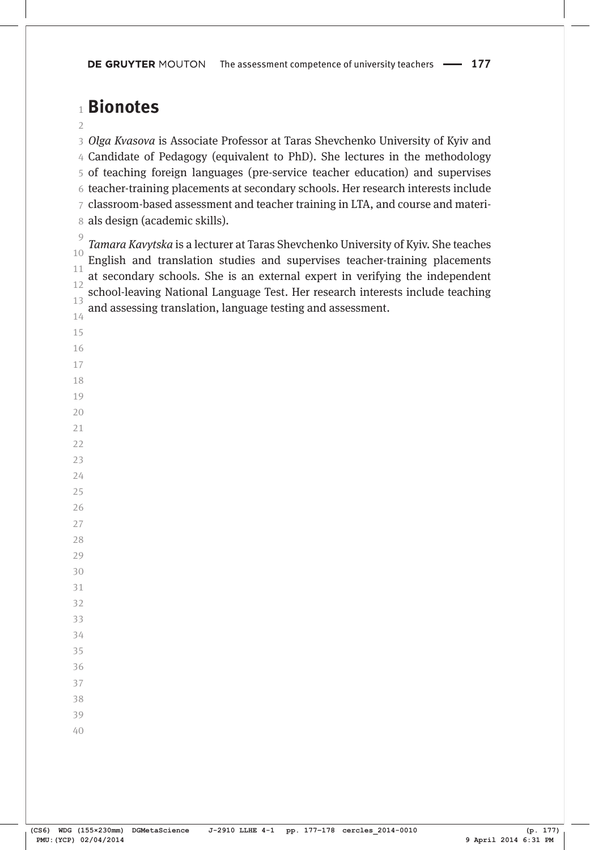# **Bionotes**

#### $\overline{\phantom{0}}$

*Olga Kvasova* is Associate Professor at Taras Shevchenko University of Kyiv and Candidate of Pedagogy (equivalent to PhD). She lectures in the methodology of teaching foreign languages (pre-service teacher education) and supervises teacher-training placements at secondary schools. Her research interests include classroom-based assessment and teacher training in LTA, and course and materi als design (academic skills).

*Tamara Kavytska* is a lecturer at Taras Shevchenko University of Kyiv. She teaches English and translation studies and supervises teacher-training placements at secondary schools. She is an external expert in verifying the independent school-leaving National Language Test. Her research interests include teaching and assessing translation, language testing and assessment. 

- 
- 
- 
- 
- 
- 

 

- 
- 
- 
- 
- 
- 
- 
-